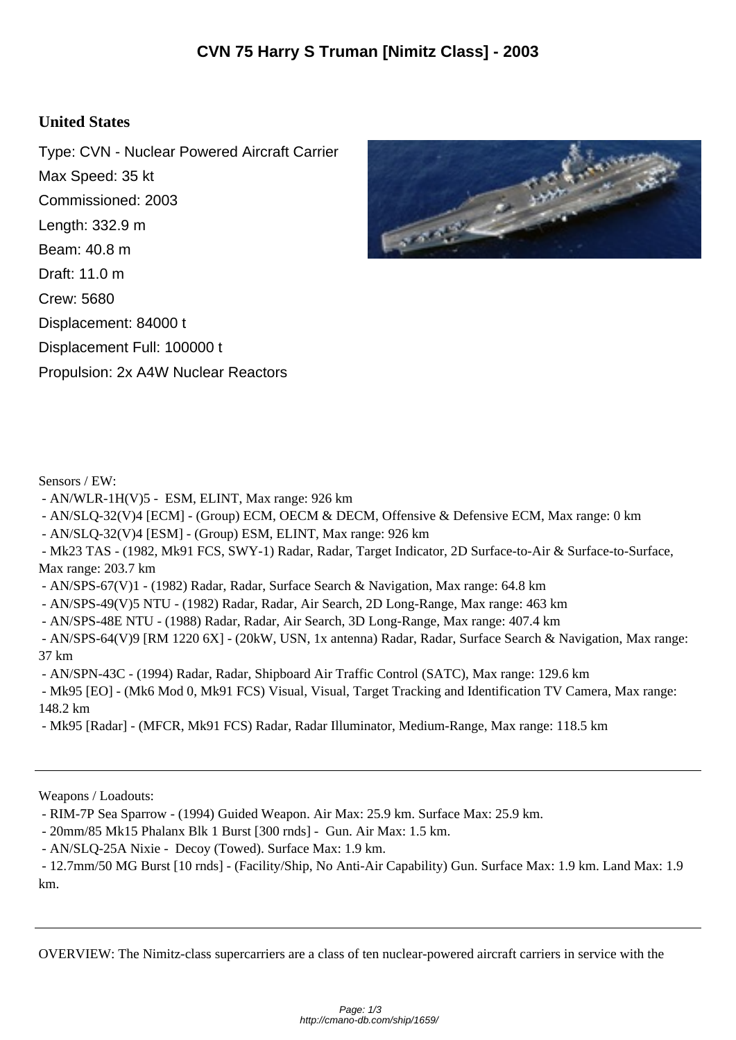## **United States**

Type: CVN - Nuclear Powered Aircraft Carrier Max Speed: 35 kt Commissioned: 2003 Length: 332.9 m Beam: 40.8 m Draft: 11.0 m Crew: 5680 Displacement: 84000 t Displacement Full: 100000 t Propulsion: 2x A4W Nuclear Reactors



Sensors / EW:

- AN/WLR-1H(V)5 - ESM, ELINT, Max range: 926 km

- AN/SLQ-32(V)4 [ECM] - (Group) ECM, OECM & DECM, Offensive & Defensive ECM, Max range: 0 km

- AN/SLQ-32(V)4 [ESM] - (Group) ESM, ELINT, Max range: 926 km

 - Mk23 TAS - (1982, Mk91 FCS, SWY-1) Radar, Radar, Target Indicator, 2D Surface-to-Air & Surface-to-Surface, Max range: 203.7 km

- AN/SPS-67(V)1 - (1982) Radar, Radar, Surface Search & Navigation, Max range: 64.8 km

- AN/SPS-49(V)5 NTU - (1982) Radar, Radar, Air Search, 2D Long-Range, Max range: 463 km

- AN/SPS-48E NTU - (1988) Radar, Radar, Air Search, 3D Long-Range, Max range: 407.4 km

 - AN/SPS-64(V)9 [RM 1220 6X] - (20kW, USN, 1x antenna) Radar, Radar, Surface Search & Navigation, Max range: 37 km

- AN/SPN-43C - (1994) Radar, Radar, Shipboard Air Traffic Control (SATC), Max range: 129.6 km

 - Mk95 [EO] - (Mk6 Mod 0, Mk91 FCS) Visual, Visual, Target Tracking and Identification TV Camera, Max range: 148.2 km

- Mk95 [Radar] - (MFCR, Mk91 FCS) Radar, Radar Illuminator, Medium-Range, Max range: 118.5 km

Weapons / Loadouts:

- RIM-7P Sea Sparrow - (1994) Guided Weapon. Air Max: 25.9 km. Surface Max: 25.9 km.

- 20mm/85 Mk15 Phalanx Blk 1 Burst [300 rnds] - Gun. Air Max: 1.5 km.

- AN/SLQ-25A Nixie - Decoy (Towed). Surface Max: 1.9 km.

 - 12.7mm/50 MG Burst [10 rnds] - (Facility/Ship, No Anti-Air Capability) Gun. Surface Max: 1.9 km. Land Max: 1.9 km.

OVERVIEW: The Nimitz-class supercarriers are a class of ten nuclear-powered aircraft carriers in service with the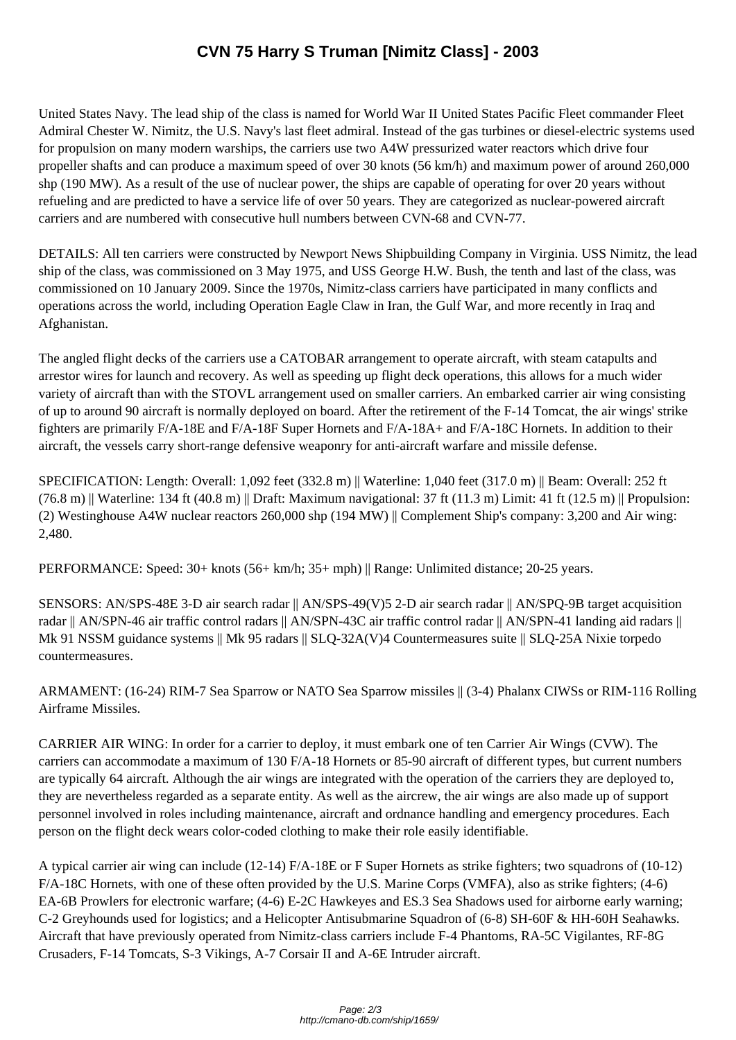United States Navy. The lea[d ship of the class is named for World War II United States Paci](http://cmano-db.com/ship/1659/)fic Fleet commander Fleet Admiral Chester W. Nimitz, the U.S. Navy's last fleet admiral. Instead of the gas turbines or diesel-electric systems used for propulsion on many modern warships, the carriers use two A4W pressurized water reactors which drive four propeller shafts and can produce a maximum speed of over 30 knots (56 km/h) and maximum power of around 260,000 shp (190 MW). As a result of the use of nuclear power, the ships are capable of operating for over 20 years without refueling and are predicted to have a service life of over 50 years. They are categorized as nuclear-powered aircraft carriers and are numbered with consecutive hull numbers between CVN-68 and CVN-77.

DETAILS: All ten carriers were constructed by Newport News Shipbuilding Company in Virginia. USS Nimitz, the lead ship of the class, was commissioned on 3 May 1975, and USS George H.W. Bush, the tenth and last of the class, was commissioned on 10 January 2009. Since the 1970s, Nimitz-class carriers have participated in many conflicts and operations across the world, including Operation Eagle Claw in Iran, the Gulf War, and more recently in Iraq and Afghanistan.

The angled flight decks of the carriers use a CATOBAR arrangement to operate aircraft, with steam catapults and arrestor wires for launch and recovery. As well as speeding up flight deck operations, this allows for a much wider variety of aircraft than with the STOVL arrangement used on smaller carriers. An embarked carrier air wing consisting of up to around 90 aircraft is normally deployed on board. After the retirement of the F-14 Tomcat, the air wings' strike fighters are primarily F/A-18E and F/A-18F Super Hornets and F/A-18A+ and F/A-18C Hornets. In addition to their aircraft, the vessels carry short-range defensive weaponry for anti-aircraft warfare and missile defense.

SPECIFICATION: Length: Overall: 1,092 feet (332.8 m) || Waterline: 1,040 feet (317.0 m) || Beam: Overall: 252 ft  $(76.8 \text{ m})$  || Waterline: 134 ft (40.8 m) || Draft: Maximum navigational: 37 ft (11.3 m) Limit: 41 ft (12.5 m) || Propulsion: (2) Westinghouse A4W nuclear reactors 260,000 shp (194 MW) || Complement Ship's company: 3,200 and Air wing: 2,480.

PERFORMANCE: Speed: 30+ knots (56+ km/h; 35+ mph) || Range: Unlimited distance; 20-25 years.

SENSORS: AN/SPS-48E 3-D air search radar || AN/SPS-49(V)5 2-D air search radar || AN/SPQ-9B target acquisition radar || AN/SPN-46 air traffic control radars || AN/SPN-43C air traffic control radar || AN/SPN-41 landing aid radars || Mk 91 NSSM guidance systems || Mk 95 radars || SLQ-32A(V)4 Countermeasures suite || SLQ-25A Nixie torpedo countermeasures.

ARMAMENT: (16-24) RIM-7 Sea Sparrow or NATO Sea Sparrow missiles || (3-4) Phalanx CIWSs or RIM-116 Rolling Airframe Missiles.

CARRIER AIR WING: In order for a carrier to deploy, it must embark one of ten Carrier Air Wings (CVW). The carriers can accommodate a maximum of 130 F/A-18 Hornets or 85-90 aircraft of different types, but current numbers are typically 64 aircraft. Although the air wings are integrated with the operation of the carriers they are deployed to, they are nevertheless regarded as a separate entity. As well as the aircrew, the air wings are also made up of support personnel involved in roles including maintenance, aircraft and ordnance handling and emergency procedures. Each person on the flight deck wears color-coded clothing to make their role easily identifiable.

A typical carrier air wing can include (12-14) F/A-18E or F Super Hornets as strike fighters; two squadrons of (10-12) F/A-18C Hornets, with one of these often provided by the U.S. Marine Corps (VMFA), also as strike fighters; (4-6) EA-6B Prowlers for electronic warfare; (4-6) E-2C Hawkeyes and ES.3 Sea Shadows used for airborne early warning; C-2 Greyhounds used for logistics; and a Helicopter Antisubmarine Squadron of (6-8) SH-60F & HH-60H Seahawks. Aircraft that have previously operated from Nimitz-class carriers include F-4 Phantoms, RA-5C Vigilantes, RF-8G Crusaders, F-14 Tomcats, S-3 Vikings, A-7 Corsair II and A-6E Intruder aircraft.